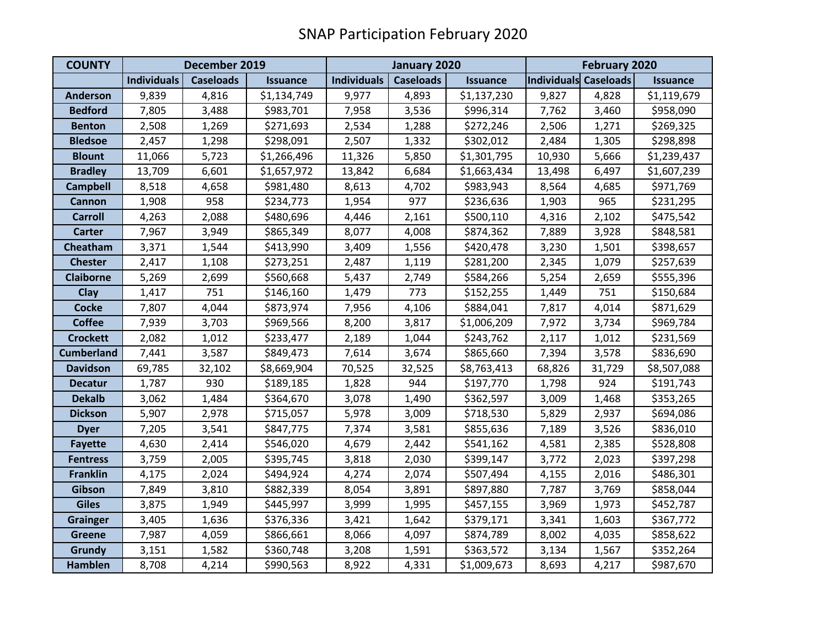| <b>COUNTY</b>     | December 2019      |                  |                 | January 2020       |                  |                 | February 2020         |        |                 |
|-------------------|--------------------|------------------|-----------------|--------------------|------------------|-----------------|-----------------------|--------|-----------------|
|                   | <b>Individuals</b> | <b>Caseloads</b> | <b>Issuance</b> | <b>Individuals</b> | <b>Caseloads</b> | <b>Issuance</b> | Individuals Caseloads |        | <b>Issuance</b> |
| <b>Anderson</b>   | 9,839              | 4,816            | \$1,134,749     | 9,977              | 4,893            | \$1,137,230     | 9,827                 | 4,828  | \$1,119,679     |
| <b>Bedford</b>    | 7,805              | 3,488            | \$983,701       | 7,958              | 3,536            | \$996,314       | 7,762                 | 3,460  | \$958,090       |
| <b>Benton</b>     | 2,508              | 1,269            | \$271,693       | 2,534              | 1,288            | \$272,246       | 2,506                 | 1,271  | \$269,325       |
| <b>Bledsoe</b>    | 2,457              | 1,298            | \$298,091       | 2,507              | 1,332            | \$302,012       | 2,484                 | 1,305  | \$298,898       |
| <b>Blount</b>     | 11,066             | 5,723            | \$1,266,496     | 11,326             | 5,850            | \$1,301,795     | 10,930                | 5,666  | \$1,239,437     |
| <b>Bradley</b>    | 13,709             | 6,601            | \$1,657,972     | 13,842             | 6,684            | \$1,663,434     | 13,498                | 6,497  | \$1,607,239     |
| <b>Campbell</b>   | 8,518              | 4,658            | \$981,480       | 8,613              | 4,702            | \$983,943       | 8,564                 | 4,685  | \$971,769       |
| Cannon            | 1,908              | 958              | \$234,773       | 1,954              | 977              | \$236,636       | 1,903                 | 965    | \$231,295       |
| <b>Carroll</b>    | 4,263              | 2,088            | \$480,696       | 4,446              | 2,161            | \$500,110       | 4,316                 | 2,102  | \$475,542       |
| <b>Carter</b>     | 7,967              | 3,949            | \$865,349       | 8,077              | 4,008            | \$874,362       | 7,889                 | 3,928  | \$848,581       |
| Cheatham          | 3,371              | 1,544            | \$413,990       | 3,409              | 1,556            | \$420,478       | 3,230                 | 1,501  | \$398,657       |
| <b>Chester</b>    | 2,417              | 1,108            | \$273,251       | 2,487              | 1,119            | \$281,200       | 2,345                 | 1,079  | \$257,639       |
| <b>Claiborne</b>  | 5,269              | 2,699            | \$560,668       | 5,437              | 2,749            | \$584,266       | 5,254                 | 2,659  | \$555,396       |
| <b>Clay</b>       | 1,417              | 751              | \$146,160       | 1,479              | 773              | \$152,255       | 1,449                 | 751    | \$150,684       |
| <b>Cocke</b>      | 7,807              | 4,044            | \$873,974       | 7,956              | 4,106            | \$884,041       | 7,817                 | 4,014  | \$871,629       |
| <b>Coffee</b>     | 7,939              | 3,703            | \$969,566       | 8,200              | 3,817            | \$1,006,209     | 7,972                 | 3,734  | \$969,784       |
| <b>Crockett</b>   | 2,082              | 1,012            | \$233,477       | 2,189              | 1,044            | \$243,762       | 2,117                 | 1,012  | \$231,569       |
| <b>Cumberland</b> | 7,441              | 3,587            | \$849,473       | 7,614              | 3,674            | \$865,660       | 7,394                 | 3,578  | \$836,690       |
| <b>Davidson</b>   | 69,785             | 32,102           | \$8,669,904     | 70,525             | 32,525           | \$8,763,413     | 68,826                | 31,729 | \$8,507,088     |
| <b>Decatur</b>    | 1,787              | 930              | \$189,185       | 1,828              | 944              | \$197,770       | 1,798                 | 924    | \$191,743       |
| <b>Dekalb</b>     | 3,062              | 1,484            | \$364,670       | 3,078              | 1,490            | \$362,597       | 3,009                 | 1,468  | \$353,265       |
| <b>Dickson</b>    | 5,907              | 2,978            | \$715,057       | 5,978              | 3,009            | \$718,530       | 5,829                 | 2,937  | \$694,086       |
| <b>Dyer</b>       | 7,205              | 3,541            | \$847,775       | 7,374              | 3,581            | \$855,636       | 7,189                 | 3,526  | \$836,010       |
| <b>Fayette</b>    | 4,630              | 2,414            | \$546,020       | 4,679              | 2,442            | \$541,162       | 4,581                 | 2,385  | \$528,808       |
| <b>Fentress</b>   | 3,759              | 2,005            | \$395,745       | 3,818              | 2,030            | \$399,147       | 3,772                 | 2,023  | \$397,298       |
| <b>Franklin</b>   | 4,175              | 2,024            | \$494,924       | 4,274              | 2,074            | \$507,494       | 4,155                 | 2,016  | \$486,301       |
| Gibson            | 7,849              | 3,810            | \$882,339       | 8,054              | 3,891            | \$897,880       | 7,787                 | 3,769  | \$858,044       |
| <b>Giles</b>      | 3,875              | 1,949            | \$445,997       | 3,999              | 1,995            | \$457,155       | 3,969                 | 1,973  | \$452,787       |
| <b>Grainger</b>   | 3,405              | 1,636            | \$376,336       | 3,421              | 1,642            | \$379,171       | 3,341                 | 1,603  | \$367,772       |
| <b>Greene</b>     | 7,987              | 4,059            | \$866,661       | 8,066              | 4,097            | \$874,789       | 8,002                 | 4,035  | \$858,622       |
| Grundy            | 3,151              | 1,582            | \$360,748       | 3,208              | 1,591            | \$363,572       | 3,134                 | 1,567  | \$352,264       |
| <b>Hamblen</b>    | 8,708              | 4,214            | \$990,563       | 8,922              | 4,331            | \$1,009,673     | 8,693                 | 4,217  | \$987,670       |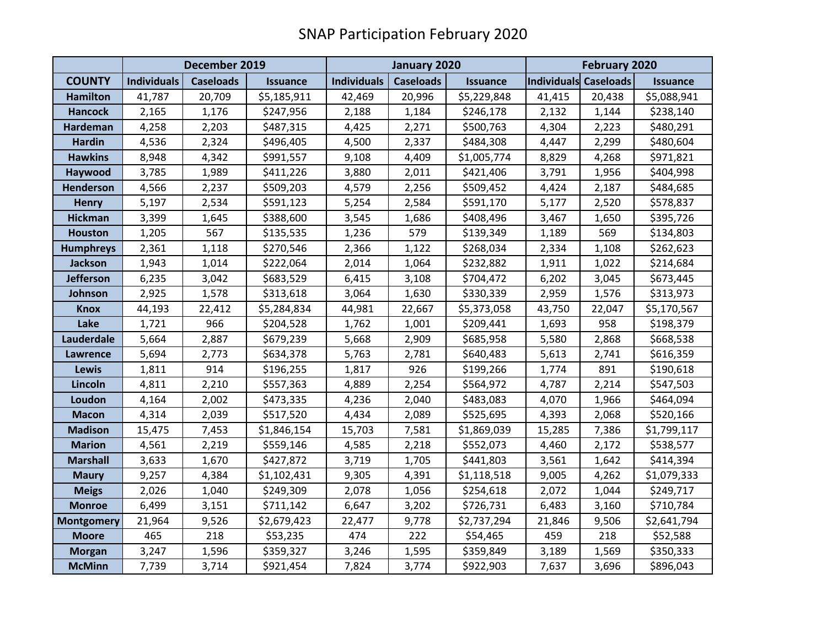|                   |                    | December 2019    |                 |                    | January 2020                        |             | February 2020                            |        |             |
|-------------------|--------------------|------------------|-----------------|--------------------|-------------------------------------|-------------|------------------------------------------|--------|-------------|
| <b>COUNTY</b>     | <b>Individuals</b> | <b>Caseloads</b> | <b>Issuance</b> | <b>Individuals</b> | <b>Caseloads</b><br><b>Issuance</b> |             | Individuals Caseloads<br><b>Issuance</b> |        |             |
| <b>Hamilton</b>   | 41,787             | 20,709           | \$5,185,911     | 42,469             | 20,996                              | \$5,229,848 | 41,415                                   | 20,438 | \$5,088,941 |
| <b>Hancock</b>    | 2,165              | 1,176            | \$247,956       | 2,188              | 1,184                               | \$246,178   | 2,132                                    | 1,144  | \$238,140   |
| Hardeman          | 4,258              | 2,203            | \$487,315       | 4,425              | 2,271                               | \$500,763   | 4,304                                    | 2,223  | \$480,291   |
| <b>Hardin</b>     | 4,536              | 2,324            | \$496,405       | 4,500              | 2,337                               | \$484,308   | 4,447                                    | 2,299  | \$480,604   |
| <b>Hawkins</b>    | 8,948              | 4,342            | \$991,557       | 9,108              | 4,409                               | \$1,005,774 | 8,829                                    | 4,268  | \$971,821   |
| Haywood           | 3,785              | 1,989            | \$411,226       | 3,880              | 2,011                               | \$421,406   | 3,791                                    | 1,956  | \$404,998   |
| <b>Henderson</b>  | 4,566              | 2,237            | \$509,203       | 4,579              | 2,256                               | \$509,452   | 4,424                                    | 2,187  | \$484,685   |
| <b>Henry</b>      | 5,197              | 2,534            | \$591,123       | 5,254              | 2,584                               | \$591,170   | 5,177                                    | 2,520  | \$578,837   |
| <b>Hickman</b>    | 3,399              | 1,645            | \$388,600       | 3,545              | 1,686                               | \$408,496   | 3,467                                    | 1,650  | \$395,726   |
| <b>Houston</b>    | 1,205              | 567              | \$135,535       | 1,236              | 579                                 | \$139,349   | 1,189                                    | 569    | \$134,803   |
| <b>Humphreys</b>  | 2,361              | 1,118            | \$270,546       | 2,366              | 1,122                               | \$268,034   | 2,334                                    | 1,108  | \$262,623   |
| <b>Jackson</b>    | 1,943              | 1,014            | \$222,064       | 2,014              | 1,064                               | \$232,882   | 1,911                                    | 1,022  | \$214,684   |
| <b>Jefferson</b>  | 6,235              | 3,042            | \$683,529       | 6,415              | 3,108                               | \$704,472   | 6,202                                    | 3,045  | \$673,445   |
| Johnson           | 2,925              | 1,578            | \$313,618       | 3,064              | 1,630                               | \$330,339   | 2,959                                    | 1,576  | \$313,973   |
| <b>Knox</b>       | 44,193             | 22,412           | \$5,284,834     | 44,981             | 22,667                              | \$5,373,058 | 43,750                                   | 22,047 | \$5,170,567 |
| Lake              | 1,721              | 966              | \$204,528       | 1,762              | 1,001                               | \$209,441   | 1,693                                    | 958    | \$198,379   |
| Lauderdale        | 5,664              | 2,887            | \$679,239       | 5,668              | 2,909                               | \$685,958   | 5,580                                    | 2,868  | \$668,538   |
| Lawrence          | 5,694              | 2,773            | \$634,378       | 5,763              | 2,781                               | \$640,483   | 5,613                                    | 2,741  | \$616,359   |
| Lewis             | 1,811              | 914              | \$196,255       | 1,817              | 926                                 | \$199,266   | 1,774                                    | 891    | \$190,618   |
| Lincoln           | 4,811              | 2,210            | \$557,363       | 4,889              | 2,254                               | \$564,972   | 4,787                                    | 2,214  | \$547,503   |
| Loudon            | 4,164              | 2,002            | \$473,335       | 4,236              | 2,040                               | \$483,083   | 4,070                                    | 1,966  | \$464,094   |
| <b>Macon</b>      | 4,314              | 2,039            | \$517,520       | 4,434              | 2,089                               | \$525,695   | 4,393                                    | 2,068  | \$520,166   |
| <b>Madison</b>    | 15,475             | 7,453            | \$1,846,154     | 15,703             | 7,581                               | \$1,869,039 | 15,285                                   | 7,386  | \$1,799,117 |
| <b>Marion</b>     | 4,561              | 2,219            | \$559,146       | 4,585              | 2,218                               | \$552,073   | 4,460                                    | 2,172  | \$538,577   |
| <b>Marshall</b>   | 3,633              | 1,670            | \$427,872       | 3,719              | 1,705                               | \$441,803   | 3,561                                    | 1,642  | \$414,394   |
| <b>Maury</b>      | 9,257              | 4,384            | \$1,102,431     | 9,305              | 4,391                               | \$1,118,518 | 9,005                                    | 4,262  | \$1,079,333 |
| <b>Meigs</b>      | 2,026              | 1,040            | \$249,309       | 2,078              | 1,056                               | \$254,618   | 2,072                                    | 1,044  | \$249,717   |
| <b>Monroe</b>     | 6,499              | 3,151            | \$711,142       | 6,647              | 3,202                               | \$726,731   | 6,483                                    | 3,160  | \$710,784   |
| <b>Montgomery</b> | 21,964             | 9,526            | \$2,679,423     | 22,477             | 9,778                               | \$2,737,294 | 21,846                                   | 9,506  | \$2,641,794 |
| <b>Moore</b>      | 465                | 218              | \$53,235        | 474                | 222                                 | \$54,465    | 459                                      | 218    | \$52,588    |
| <b>Morgan</b>     | 3,247              | 1,596            | \$359,327       | 3,246              | 1,595                               | \$359,849   | 3,189                                    | 1,569  | \$350,333   |
| <b>McMinn</b>     | 7,739              | 3,714            | \$921,454       | 7,824              | 3,774                               | \$922,903   | 7,637                                    | 3,696  | \$896,043   |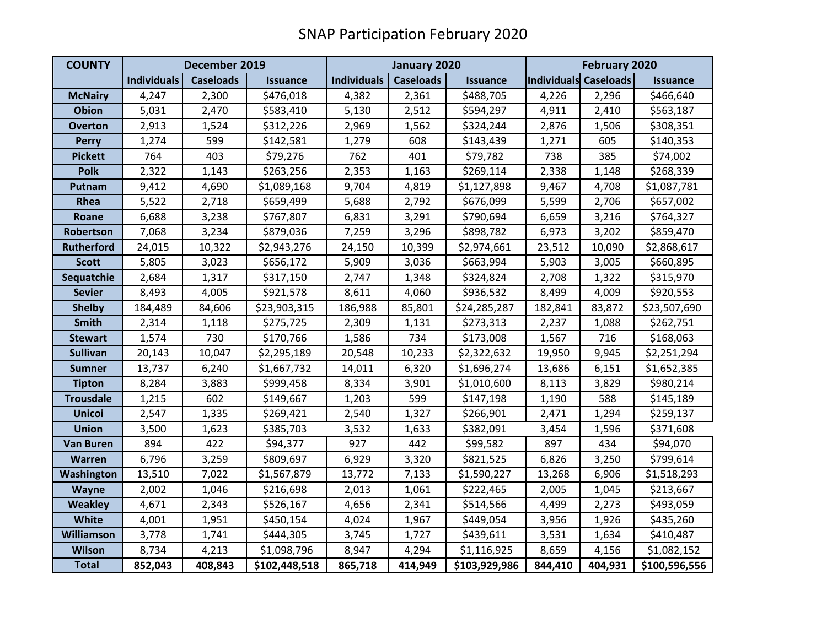| <b>COUNTY</b>     | December 2019      |                  |                 | January 2020       |                  |                 | February 2020                |         |                 |
|-------------------|--------------------|------------------|-----------------|--------------------|------------------|-----------------|------------------------------|---------|-----------------|
|                   | <b>Individuals</b> | <b>Caseloads</b> | <b>Issuance</b> | <b>Individuals</b> | <b>Caseloads</b> | <b>Issuance</b> | <b>Individuals Caseloads</b> |         | <b>Issuance</b> |
| <b>McNairy</b>    | 4,247              | 2,300            | \$476,018       | 4,382              | 2,361            | \$488,705       | 4,226                        | 2,296   | \$466,640       |
| <b>Obion</b>      | 5,031              | 2,470            | \$583,410       | 5,130              | 2,512            | \$594,297       | 4,911                        | 2,410   | \$563,187       |
| <b>Overton</b>    | 2,913              | 1,524            | \$312,226       | 2,969              | 1,562            | \$324,244       | 2,876                        | 1,506   | \$308,351       |
| <b>Perry</b>      | 1,274              | 599              | \$142,581       | 1,279              | 608              | \$143,439       | 1,271                        | 605     | \$140,353       |
| <b>Pickett</b>    | 764                | 403              | \$79,276        | 762                | 401              | \$79,782        | 738                          | 385     | \$74,002        |
| <b>Polk</b>       | 2,322              | 1,143            | \$263,256       | 2,353              | 1,163            | \$269,114       | 2,338                        | 1,148   | \$268,339       |
| Putnam            | 9,412              | 4,690            | \$1,089,168     | 9,704              | 4,819            | \$1,127,898     | 9,467                        | 4,708   | \$1,087,781     |
| Rhea              | 5,522              | 2,718            | \$659,499       | 5,688              | 2,792            | \$676,099       | 5,599                        | 2,706   | \$657,002       |
| Roane             | 6,688              | 3,238            | \$767,807       | 6,831              | 3,291            | \$790,694       | 6,659                        | 3,216   | \$764,327       |
| Robertson         | 7,068              | 3,234            | \$879,036       | 7,259              | 3,296            | \$898,782       | 6,973                        | 3,202   | \$859,470       |
| <b>Rutherford</b> | 24,015             | 10,322           | \$2,943,276     | 24,150             | 10,399           | \$2,974,661     | 23,512                       | 10,090  | \$2,868,617     |
| <b>Scott</b>      | 5,805              | 3,023            | \$656,172       | 5,909              | 3,036            | \$663,994       | 5,903                        | 3,005   | \$660,895       |
| Sequatchie        | 2,684              | 1,317            | \$317,150       | 2,747              | 1,348            | \$324,824       | 2,708                        | 1,322   | \$315,970       |
| <b>Sevier</b>     | 8,493              | 4,005            | \$921,578       | 8,611              | 4,060            | \$936,532       | 8,499                        | 4,009   | \$920,553       |
| <b>Shelby</b>     | 184,489            | 84,606           | \$23,903,315    | 186,988            | 85,801           | \$24,285,287    | 182,841                      | 83,872  | \$23,507,690    |
| <b>Smith</b>      | 2,314              | 1,118            | \$275,725       | 2,309              | 1,131            | \$273,313       | 2,237                        | 1,088   | \$262,751       |
| <b>Stewart</b>    | 1,574              | 730              | \$170,766       | 1,586              | 734              | \$173,008       | 1,567                        | 716     | \$168,063       |
| <b>Sullivan</b>   | 20,143             | 10,047           | \$2,295,189     | 20,548             | 10,233           | \$2,322,632     | 19,950                       | 9,945   | \$2,251,294     |
| <b>Sumner</b>     | 13,737             | 6,240            | \$1,667,732     | 14,011             | 6,320            | \$1,696,274     | 13,686                       | 6,151   | \$1,652,385     |
| <b>Tipton</b>     | 8,284              | 3,883            | \$999,458       | 8,334              | 3,901            | \$1,010,600     | 8,113                        | 3,829   | \$980,214       |
| <b>Trousdale</b>  | 1,215              | 602              | \$149,667       | 1,203              | 599              | \$147,198       | 1,190                        | 588     | \$145,189       |
| <b>Unicoi</b>     | 2,547              | 1,335            | \$269,421       | 2,540              | 1,327            | \$266,901       | 2,471                        | 1,294   | \$259,137       |
| <b>Union</b>      | 3,500              | 1,623            | \$385,703       | 3,532              | 1,633            | \$382,091       | 3,454                        | 1,596   | \$371,608       |
| <b>Van Buren</b>  | 894                | 422              | \$94,377        | 927                | 442              | \$99,582        | 897                          | 434     | \$94,070        |
| <b>Warren</b>     | 6,796              | 3,259            | \$809,697       | 6,929              | 3,320            | \$821,525       | 6,826                        | 3,250   | \$799,614       |
| Washington        | 13,510             | 7,022            | \$1,567,879     | 13,772             | 7,133            | \$1,590,227     | 13,268                       | 6,906   | \$1,518,293     |
| <b>Wayne</b>      | 2,002              | 1,046            | \$216,698       | 2,013              | 1,061            | \$222,465       | 2,005                        | 1,045   | \$213,667       |
| <b>Weakley</b>    | 4,671              | 2,343            | \$526,167       | 4,656              | 2,341            | \$514,566       | 4,499                        | 2,273   | \$493,059       |
| <b>White</b>      | 4,001              | 1,951            | \$450,154       | 4,024              | 1,967            | \$449,054       | 3,956                        | 1,926   | \$435,260       |
| Williamson        | 3,778              | 1,741            | \$444,305       | 3,745              | 1,727            | \$439,611       | 3,531                        | 1,634   | \$410,487       |
| <b>Wilson</b>     | 8,734              | 4,213            | \$1,098,796     | 8,947              | 4,294            | \$1,116,925     | 8,659                        | 4,156   | \$1,082,152     |
| <b>Total</b>      | 852,043            | 408,843          | \$102,448,518   | 865,718            | 414,949          | \$103,929,986   | 844,410                      | 404,931 | \$100,596,556   |